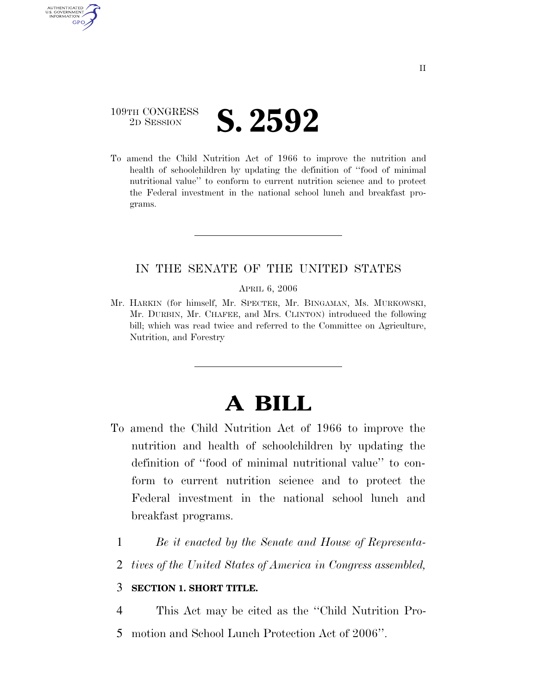## 109TH CONGRESS **2D SESSION S. 2592**

U.S. GOVERNMENT GPO

> To amend the Child Nutrition Act of 1966 to improve the nutrition and health of schoolchildren by updating the definition of ''food of minimal nutritional value'' to conform to current nutrition science and to protect the Federal investment in the national school lunch and breakfast programs.

#### IN THE SENATE OF THE UNITED STATES

APRIL 6, 2006

Mr. HARKIN (for himself, Mr. SPECTER, Mr. BINGAMAN, Ms. MURKOWSKI, Mr. DURBIN, Mr. CHAFEE, and Mrs. CLINTON) introduced the following bill; which was read twice and referred to the Committee on Agriculture, Nutrition, and Forestry

# **A BILL**

- To amend the Child Nutrition Act of 1966 to improve the nutrition and health of schoolchildren by updating the definition of ''food of minimal nutritional value'' to conform to current nutrition science and to protect the Federal investment in the national school lunch and breakfast programs.
	- 1 *Be it enacted by the Senate and House of Representa-*
	- 2 *tives of the United States of America in Congress assembled,*

### 3 **SECTION 1. SHORT TITLE.**

4 This Act may be cited as the ''Child Nutrition Pro-5 motion and School Lunch Protection Act of 2006''.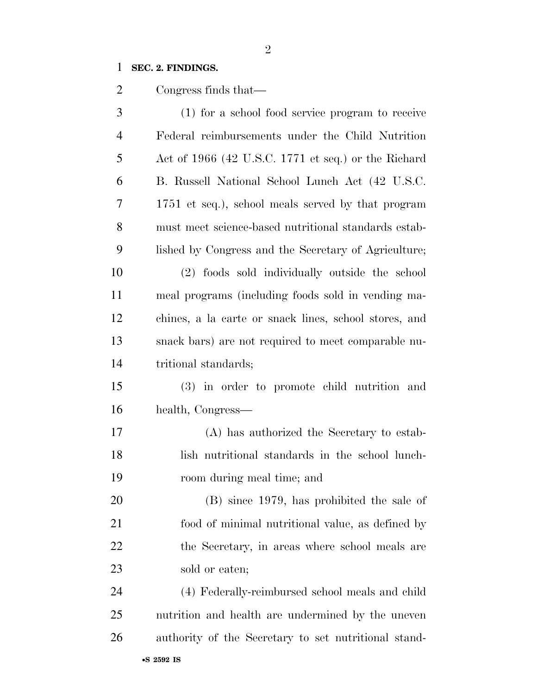## **SEC. 2. FINDINGS.**

Congress finds that—

| 3              | (1) for a school food service program to receive      |
|----------------|-------------------------------------------------------|
| $\overline{4}$ | Federal reimbursements under the Child Nutrition      |
| 5              | Act of 1966 (42 U.S.C. 1771 et seq.) or the Richard   |
| 6              | B. Russell National School Lunch Act (42 U.S.C.       |
| 7              | 1751 et seq.), school meals served by that program    |
| 8              | must meet science-based nutritional standards estab-  |
| 9              | lished by Congress and the Secretary of Agriculture;  |
| 10             | (2) foods sold individually outside the school        |
| 11             | meal programs (including foods sold in vending ma-    |
| 12             | chines, a la carte or snack lines, school stores, and |
| 13             | snack bars) are not required to meet comparable nu-   |
| 14             | tritional standards;                                  |
| 15             | (3) in order to promote child nutrition and           |
| 16             | health, Congress—                                     |
| 17             | (A) has authorized the Secretary to estab-            |
| 18             | lish nutritional standards in the school lunch-       |
| 19             | room during meal time; and                            |
| 20             | (B) since 1979, has prohibited the sale of            |
| 21             | food of minimal nutritional value, as defined by      |
| 22             | the Secretary, in areas where school meals are        |
| 23             | sold or eaten;                                        |
| 24             | (4) Federally-reimbursed school meals and child       |
| 25             | nutrition and health are undermined by the uneven     |
| 26             | authority of the Secretary to set nutritional stand-  |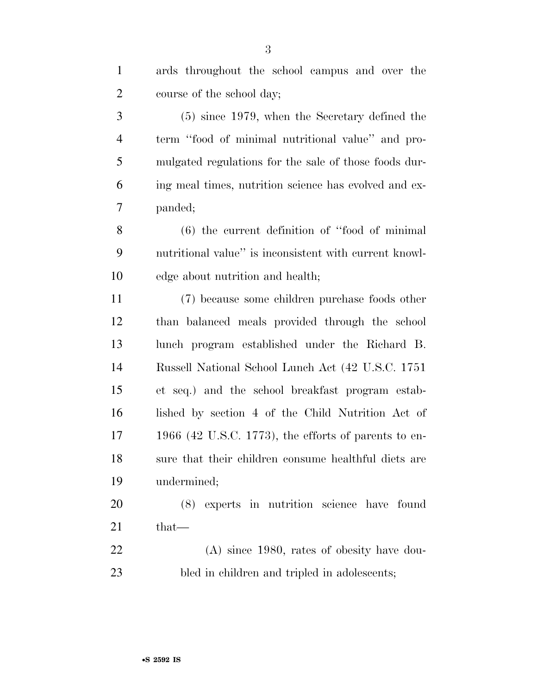| 1              | ards throughout the school campus and over the         |
|----------------|--------------------------------------------------------|
| $\overline{2}$ | course of the school day;                              |
| 3              | $(5)$ since 1979, when the Secretary defined the       |
| $\overline{4}$ | term "food of minimal nutritional value" and pro-      |
| 5              | mulgated regulations for the sale of those foods dur-  |
| 6              | ing meal times, nutrition science has evolved and ex-  |
| 7              | panded;                                                |
| 8              | $(6)$ the current definition of "food of minimal"      |
| 9              | nutritional value" is inconsistent with current knowl- |
| 10             | edge about nutrition and health;                       |
| 11             | (7) because some children purchase foods other         |
| 12             | than balanced meals provided through the school        |
| 13             | lunch program established under the Richard B.         |
| 14             | Russell National School Lunch Act (42 U.S.C. 1751)     |
| 15             | et seq.) and the school breakfast program estab-       |
| 16             | lished by section 4 of the Child Nutrition Act of      |
| 17             | 1966 (42 U.S.C. 1773), the efforts of parents to en-   |
| 18             | sure that their children consume healthful diets are   |
| 19             | undermined;                                            |
| 20             | experts in nutrition science have found<br>(8)         |
| 21             | $that-$                                                |
| 22             | $(A)$ since 1980, rates of obesity have dou-           |
| 23             | bled in children and tripled in adolescents;           |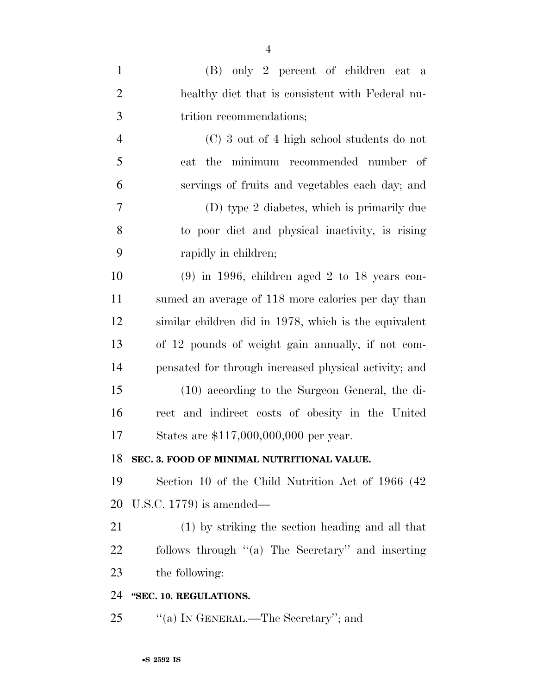| $\mathbf{1}$   | (B) only 2 percent of children eat a                  |
|----------------|-------------------------------------------------------|
| $\overline{2}$ | healthy diet that is consistent with Federal nu-      |
| 3              | trition recommendations;                              |
| $\overline{4}$ | (C) 3 out of 4 high school students do not            |
| 5              | eat the minimum recommended number of                 |
| 6              | servings of fruits and vegetables each day; and       |
| $\overline{7}$ | (D) type 2 diabetes, which is primarily due           |
| 8              | to poor diet and physical inactivity, is rising       |
| 9              | rapidly in children;                                  |
| 10             | $(9)$ in 1996, children aged 2 to 18 years con-       |
| 11             | sumed an average of 118 more calories per day than    |
| 12             | similar children did in 1978, which is the equivalent |
| 13             | of 12 pounds of weight gain annually, if not com-     |
| 14             | pensated for through increased physical activity; and |
| 15             | (10) according to the Surgeon General, the di-        |
| 16             | rect and indirect costs of obesity in the United      |
| 17             | States are \$117,000,000,000 per year.                |
| 18             | SEC. 3. FOOD OF MINIMAL NUTRITIONAL VALUE.            |
| 19             | Section 10 of the Child Nutrition Act of 1966 (42)    |
| 20             | U.S.C. $1779$ is amended—                             |
| 21             | (1) by striking the section heading and all that      |
| <u>22</u>      | follows through "(a) The Secretary" and inserting     |
| 23             | the following:                                        |
| 24             | "SEC. 10. REGULATIONS.                                |
|                |                                                       |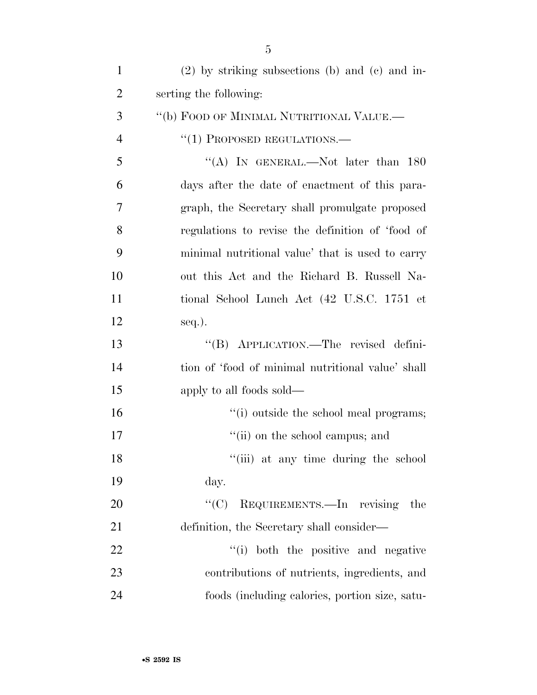| $\mathbf{1}$   | $(2)$ by striking subsections (b) and (c) and in- |
|----------------|---------------------------------------------------|
| $\overline{2}$ | serting the following:                            |
| 3              | "(b) FOOD OF MINIMAL NUTRITIONAL VALUE.—          |
| $\overline{4}$ | $``(1)$ PROPOSED REGULATIONS.—                    |
| 5              | "(A) IN GENERAL.—Not later than $180$             |
| 6              | days after the date of enactment of this para-    |
| 7              | graph, the Secretary shall promulgate proposed    |
| 8              | regulations to revise the definition of 'food of  |
| 9              | minimal nutritional value' that is used to carry  |
| 10             | out this Act and the Richard B. Russell Na-       |
| 11             | tional School Lunch Act (42 U.S.C. 1751 et        |
| 12             | $seq.$ ).                                         |
| 13             | "(B) APPLICATION.—The revised defini-             |
| 14             | tion of 'food of minimal nutritional value' shall |
| 15             | apply to all foods sold—                          |
| 16             | "(i) outside the school meal programs;            |
| 17             | "(ii) on the school campus; and                   |
| 18             | "(iii) at any time during the school              |
| 19             | day.                                              |
| 20             | "(C) REQUIREMENTS.—In revising<br>the             |
| 21             | definition, the Secretary shall consider—         |
| 22             | "(i) both the positive and negative               |
| 23             | contributions of nutrients, ingredients, and      |
| 24             | foods (including calories, portion size, satu-    |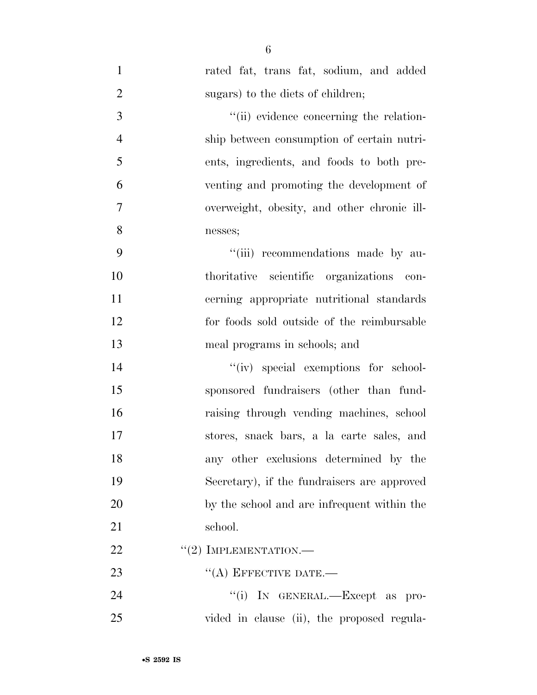| $\mathbf{1}$   | rated fat, trans fat, sodium, and added     |
|----------------|---------------------------------------------|
| $\overline{2}$ | sugars) to the diets of children;           |
| $\overline{3}$ | "(ii) evidence concerning the relation-     |
| $\overline{4}$ | ship between consumption of certain nutri-  |
| 5              | ents, ingredients, and foods to both pre-   |
| 6              | venting and promoting the development of    |
| $\tau$         | overweight, obesity, and other chronic ill- |
| 8              | nesses;                                     |
| 9              | "(iii) recommendations made by au-          |
| 10             | thoritative scientific organizations con-   |
| 11             | cerning appropriate nutritional standards   |
| 12             | for foods sold outside of the reimbursable  |
| 13             | meal programs in schools; and               |
| 14             | "(iv) special exemptions for school-        |
| 15             | sponsored fundraisers (other than fund-     |
| 16             | raising through vending machines, school    |
| 17             | stores, snack bars, a la carte sales, and   |
| 18             | any other exclusions determined by the      |
| 19             | Secretary), if the fundraisers are approved |
| 20             | by the school and are infrequent within the |
| 21             | school.                                     |
| 22             | $"(2)$ IMPLEMENTATION.—                     |
| 23             | $\lq\lq$ (A) EFFECTIVE DATE.—               |
| 24             | "(i) IN GENERAL.—Except as pro-             |
| 25             | vided in clause (ii), the proposed regula-  |